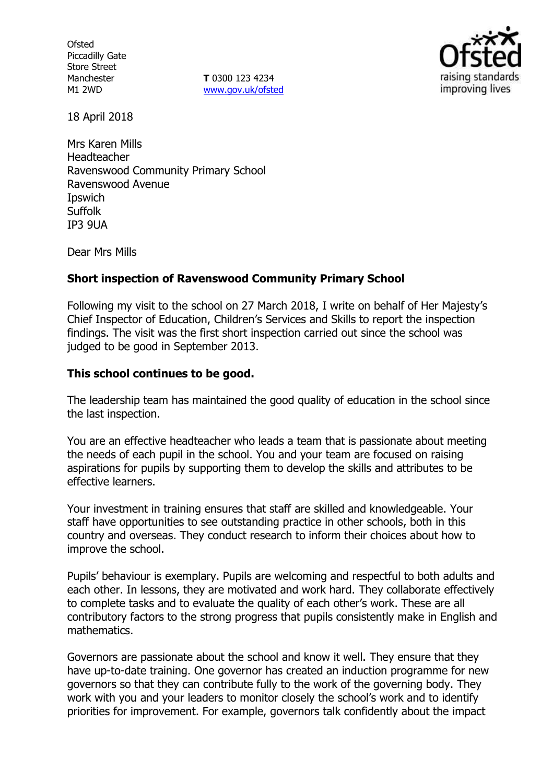**Ofsted** Piccadilly Gate Store Street Manchester M1 2WD

**T** 0300 123 4234 www.gov.uk/ofsted



18 April 2018

Mrs Karen Mills Headteacher Ravenswood Community Primary School Ravenswood Avenue Ipswich Suffolk IP3 9UA

Dear Mrs Mills

# **Short inspection of Ravenswood Community Primary School**

Following my visit to the school on 27 March 2018, I write on behalf of Her Majesty's Chief Inspector of Education, Children's Services and Skills to report the inspection findings. The visit was the first short inspection carried out since the school was judged to be good in September 2013.

# **This school continues to be good.**

The leadership team has maintained the good quality of education in the school since the last inspection.

You are an effective headteacher who leads a team that is passionate about meeting the needs of each pupil in the school. You and your team are focused on raising aspirations for pupils by supporting them to develop the skills and attributes to be effective learners.

Your investment in training ensures that staff are skilled and knowledgeable. Your staff have opportunities to see outstanding practice in other schools, both in this country and overseas. They conduct research to inform their choices about how to improve the school.

Pupils' behaviour is exemplary. Pupils are welcoming and respectful to both adults and each other. In lessons, they are motivated and work hard. They collaborate effectively to complete tasks and to evaluate the quality of each other's work. These are all contributory factors to the strong progress that pupils consistently make in English and mathematics.

Governors are passionate about the school and know it well. They ensure that they have up-to-date training. One governor has created an induction programme for new governors so that they can contribute fully to the work of the governing body. They work with you and your leaders to monitor closely the school's work and to identify priorities for improvement. For example, governors talk confidently about the impact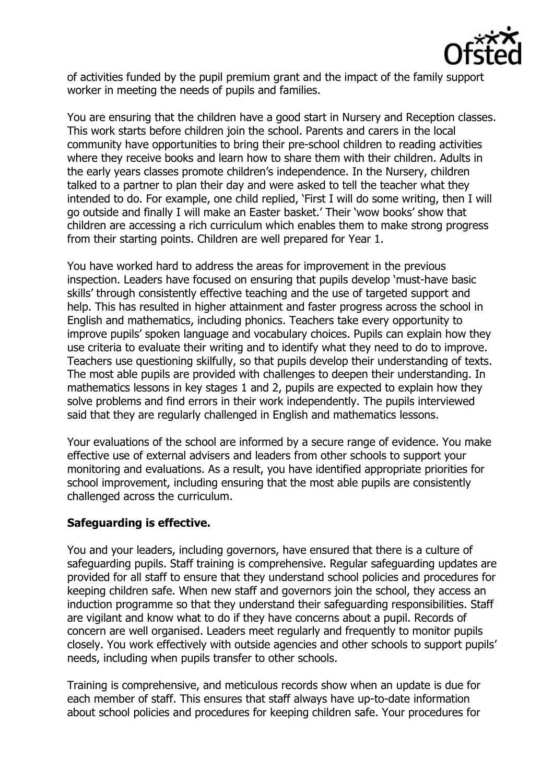

of activities funded by the pupil premium grant and the impact of the family support worker in meeting the needs of pupils and families.

You are ensuring that the children have a good start in Nursery and Reception classes. This work starts before children join the school. Parents and carers in the local community have opportunities to bring their pre-school children to reading activities where they receive books and learn how to share them with their children. Adults in the early years classes promote children's independence. In the Nursery, children talked to a partner to plan their day and were asked to tell the teacher what they intended to do. For example, one child replied, 'First I will do some writing, then I will go outside and finally I will make an Easter basket.' Their 'wow books' show that children are accessing a rich curriculum which enables them to make strong progress from their starting points. Children are well prepared for Year 1.

You have worked hard to address the areas for improvement in the previous inspection. Leaders have focused on ensuring that pupils develop 'must-have basic skills' through consistently effective teaching and the use of targeted support and help. This has resulted in higher attainment and faster progress across the school in English and mathematics, including phonics. Teachers take every opportunity to improve pupils' spoken language and vocabulary choices. Pupils can explain how they use criteria to evaluate their writing and to identify what they need to do to improve. Teachers use questioning skilfully, so that pupils develop their understanding of texts. The most able pupils are provided with challenges to deepen their understanding. In mathematics lessons in key stages 1 and 2, pupils are expected to explain how they solve problems and find errors in their work independently. The pupils interviewed said that they are regularly challenged in English and mathematics lessons.

Your evaluations of the school are informed by a secure range of evidence. You make effective use of external advisers and leaders from other schools to support your monitoring and evaluations. As a result, you have identified appropriate priorities for school improvement, including ensuring that the most able pupils are consistently challenged across the curriculum.

# **Safeguarding is effective.**

You and your leaders, including governors, have ensured that there is a culture of safeguarding pupils. Staff training is comprehensive. Regular safeguarding updates are provided for all staff to ensure that they understand school policies and procedures for keeping children safe. When new staff and governors join the school, they access an induction programme so that they understand their safeguarding responsibilities. Staff are vigilant and know what to do if they have concerns about a pupil. Records of concern are well organised. Leaders meet regularly and frequently to monitor pupils closely. You work effectively with outside agencies and other schools to support pupils' needs, including when pupils transfer to other schools.

Training is comprehensive, and meticulous records show when an update is due for each member of staff. This ensures that staff always have up-to-date information about school policies and procedures for keeping children safe. Your procedures for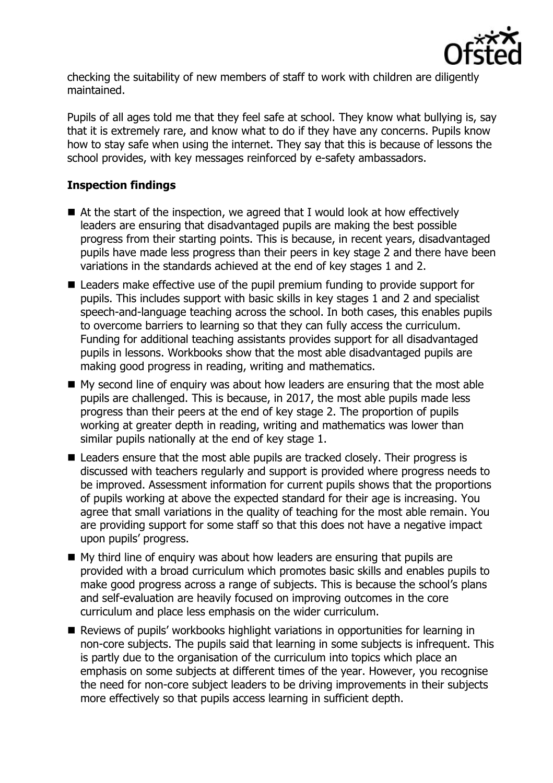

checking the suitability of new members of staff to work with children are diligently maintained.

Pupils of all ages told me that they feel safe at school. They know what bullying is, say that it is extremely rare, and know what to do if they have any concerns. Pupils know how to stay safe when using the internet. They say that this is because of lessons the school provides, with key messages reinforced by e-safety ambassadors.

# **Inspection findings**

- At the start of the inspection, we agreed that I would look at how effectively leaders are ensuring that disadvantaged pupils are making the best possible progress from their starting points. This is because, in recent years, disadvantaged pupils have made less progress than their peers in key stage 2 and there have been variations in the standards achieved at the end of key stages 1 and 2.
- Leaders make effective use of the pupil premium funding to provide support for pupils. This includes support with basic skills in key stages 1 and 2 and specialist speech-and-language teaching across the school. In both cases, this enables pupils to overcome barriers to learning so that they can fully access the curriculum. Funding for additional teaching assistants provides support for all disadvantaged pupils in lessons. Workbooks show that the most able disadvantaged pupils are making good progress in reading, writing and mathematics.
- My second line of enquiry was about how leaders are ensuring that the most able pupils are challenged. This is because, in 2017, the most able pupils made less progress than their peers at the end of key stage 2. The proportion of pupils working at greater depth in reading, writing and mathematics was lower than similar pupils nationally at the end of key stage 1.
- Leaders ensure that the most able pupils are tracked closely. Their progress is discussed with teachers regularly and support is provided where progress needs to be improved. Assessment information for current pupils shows that the proportions of pupils working at above the expected standard for their age is increasing. You agree that small variations in the quality of teaching for the most able remain. You are providing support for some staff so that this does not have a negative impact upon pupils' progress.
- My third line of enquiry was about how leaders are ensuring that pupils are provided with a broad curriculum which promotes basic skills and enables pupils to make good progress across a range of subjects. This is because the school's plans and self-evaluation are heavily focused on improving outcomes in the core curriculum and place less emphasis on the wider curriculum.
- Reviews of pupils' workbooks highlight variations in opportunities for learning in non-core subjects. The pupils said that learning in some subjects is infrequent. This is partly due to the organisation of the curriculum into topics which place an emphasis on some subjects at different times of the year. However, you recognise the need for non-core subject leaders to be driving improvements in their subjects more effectively so that pupils access learning in sufficient depth.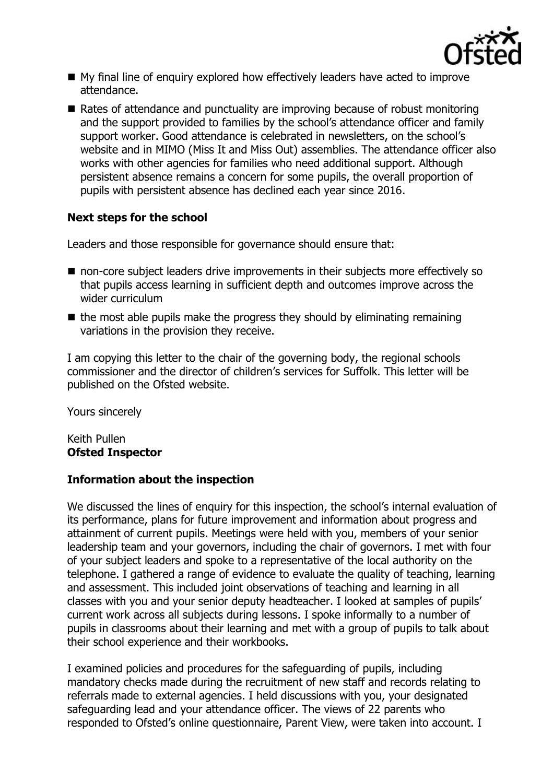

- My final line of enquiry explored how effectively leaders have acted to improve attendance.
- Rates of attendance and punctuality are improving because of robust monitoring and the support provided to families by the school's attendance officer and family support worker. Good attendance is celebrated in newsletters, on the school's website and in MIMO (Miss It and Miss Out) assemblies. The attendance officer also works with other agencies for families who need additional support. Although persistent absence remains a concern for some pupils, the overall proportion of pupils with persistent absence has declined each year since 2016.

# **Next steps for the school**

Leaders and those responsible for governance should ensure that:

- non-core subject leaders drive improvements in their subjects more effectively so that pupils access learning in sufficient depth and outcomes improve across the wider curriculum
- $\blacksquare$  the most able pupils make the progress they should by eliminating remaining variations in the provision they receive.

I am copying this letter to the chair of the governing body, the regional schools commissioner and the director of children's services for Suffolk. This letter will be published on the Ofsted website.

Yours sincerely

Keith Pullen **Ofsted Inspector**

# **Information about the inspection**

We discussed the lines of enquiry for this inspection, the school's internal evaluation of its performance, plans for future improvement and information about progress and attainment of current pupils. Meetings were held with you, members of your senior leadership team and your governors, including the chair of governors. I met with four of your subject leaders and spoke to a representative of the local authority on the telephone. I gathered a range of evidence to evaluate the quality of teaching, learning and assessment. This included joint observations of teaching and learning in all classes with you and your senior deputy headteacher. I looked at samples of pupils' current work across all subjects during lessons. I spoke informally to a number of pupils in classrooms about their learning and met with a group of pupils to talk about their school experience and their workbooks.

I examined policies and procedures for the safeguarding of pupils, including mandatory checks made during the recruitment of new staff and records relating to referrals made to external agencies. I held discussions with you, your designated safeguarding lead and your attendance officer. The views of 22 parents who responded to Ofsted's online questionnaire, Parent View, were taken into account. I